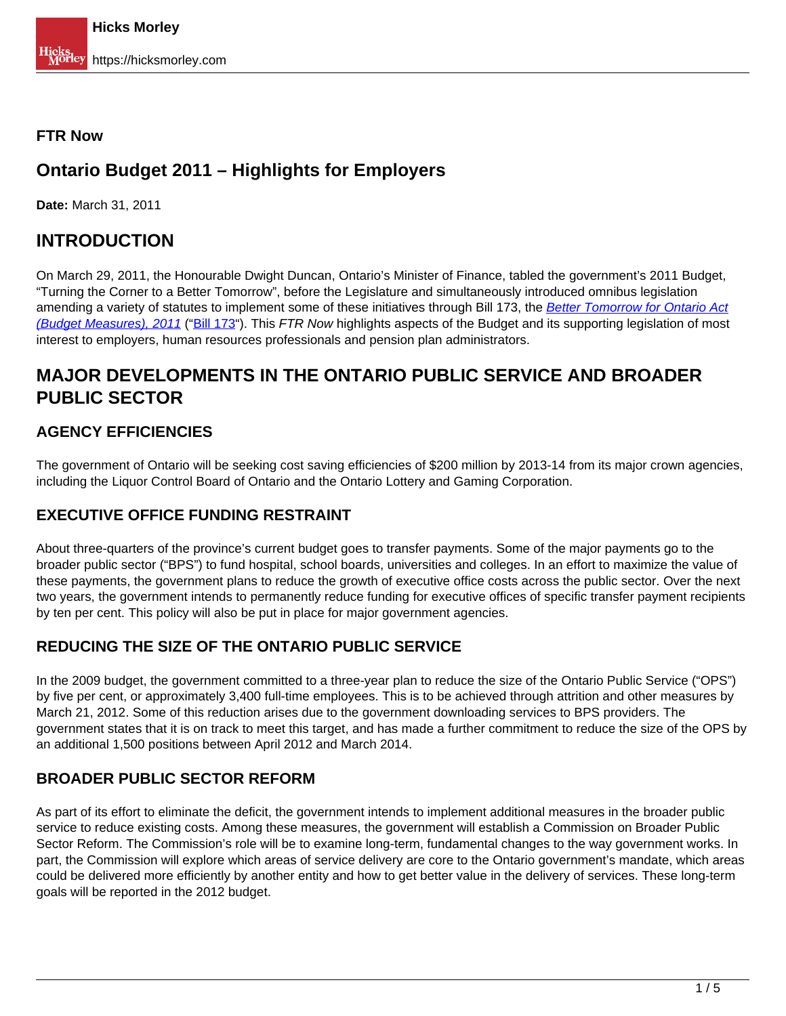### **FTR Now**

# **Ontario Budget 2011 – Highlights for Employers**

**Date:** March 31, 2011

# **INTRODUCTION**

On March 29, 2011, the Honourable Dwight Duncan, Ontario's Minister of Finance, tabled the government's 2011 Budget, "Turning the Corner to a Better Tomorrow", before the Legislature and simultaneously introduced omnibus legislation amending a variety of statutes to implement some of these initiatives through Bill 173, the [Better Tomorrow for Ontario Act](http://www.humanresourceslegislativeupdate.com/general-employment/omnibus-bill-introduced-further-to-ontario-2011-budget/) [\(Budget Measures\), 2011](http://www.humanresourceslegislativeupdate.com/general-employment/omnibus-bill-introduced-further-to-ontario-2011-budget/) ("Bill 173"). This FTR Now highlights aspects of the Budget and its supporting legislation of most interest to employers, human resources professionals and pension plan administrators.

# **MAJOR DEVELOPMENTS IN THE ONTARIO PUBLIC SERVICE AND BROADER PUBLIC SECTOR**

# **AGENCY EFFICIENCIES**

The government of Ontario will be seeking cost saving efficiencies of \$200 million by 2013-14 from its major crown agencies, including the Liquor Control Board of Ontario and the Ontario Lottery and Gaming Corporation.

### **EXECUTIVE OFFICE FUNDING RESTRAINT**

About three-quarters of the province's current budget goes to transfer payments. Some of the major payments go to the broader public sector ("BPS") to fund hospital, school boards, universities and colleges. In an effort to maximize the value of these payments, the government plans to reduce the growth of executive office costs across the public sector. Over the next two years, the government intends to permanently reduce funding for executive offices of specific transfer payment recipients by ten per cent. This policy will also be put in place for major government agencies.

## **REDUCING THE SIZE OF THE ONTARIO PUBLIC SERVICE**

In the 2009 budget, the government committed to a three-year plan to reduce the size of the Ontario Public Service ("OPS") by five per cent, or approximately 3,400 full-time employees. This is to be achieved through attrition and other measures by March 21, 2012. Some of this reduction arises due to the government downloading services to BPS providers. The government states that it is on track to meet this target, and has made a further commitment to reduce the size of the OPS by an additional 1,500 positions between April 2012 and March 2014.

## **BROADER PUBLIC SECTOR REFORM**

As part of its effort to eliminate the deficit, the government intends to implement additional measures in the broader public service to reduce existing costs. Among these measures, the government will establish a Commission on Broader Public Sector Reform. The Commission's role will be to examine long-term, fundamental changes to the way government works. In part, the Commission will explore which areas of service delivery are core to the Ontario government's mandate, which areas could be delivered more efficiently by another entity and how to get better value in the delivery of services. These long-term goals will be reported in the 2012 budget.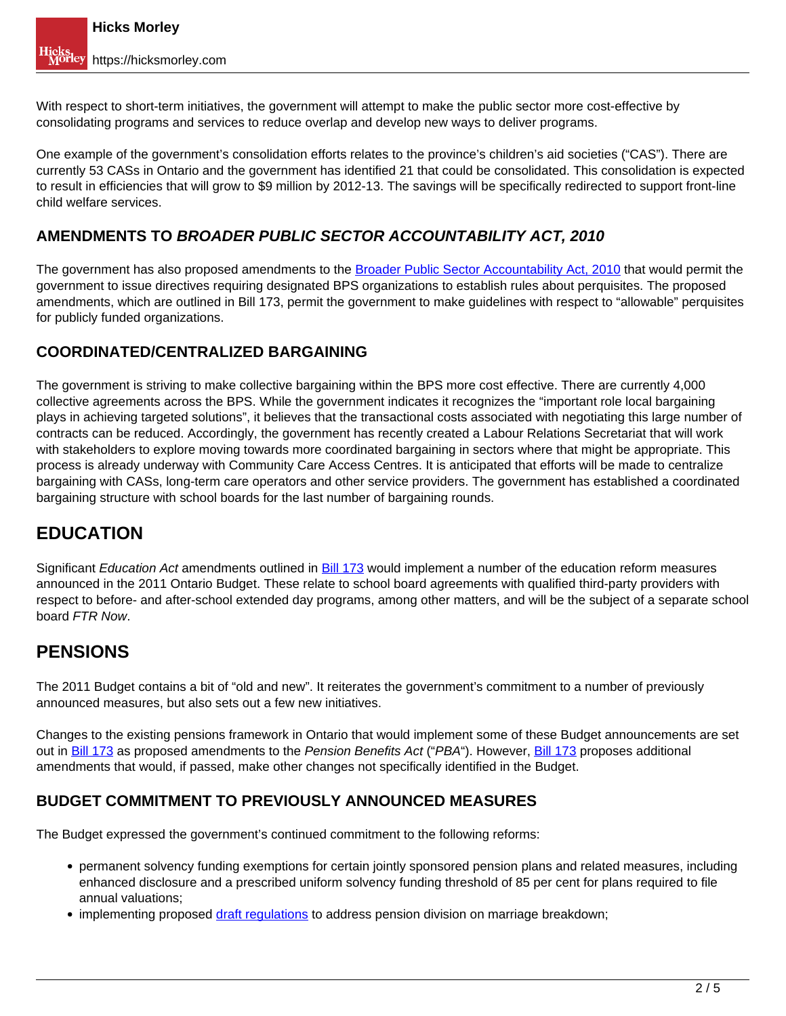With respect to short-term initiatives, the government will attempt to make the public sector more cost-effective by consolidating programs and services to reduce overlap and develop new ways to deliver programs.

One example of the government's consolidation efforts relates to the province's children's aid societies ("CAS"). There are currently 53 CASs in Ontario and the government has identified 21 that could be consolidated. This consolidation is expected to result in efficiencies that will grow to \$9 million by 2012-13. The savings will be specifically redirected to support front-line child welfare services.

## **AMENDMENTS TO BROADER PUBLIC SECTOR ACCOUNTABILITY ACT, 2010**

The government has also proposed amendments to the Broader Public Sector Accountability Act, 2010 that would permit the government to issue directives requiring designated BPS organizations to establish rules about perquisites. The proposed amendments, which are outlined in Bill 173, permit the government to make guidelines with respect to "allowable" perquisites for publicly funded organizations.

## **COORDINATED/CENTRALIZED BARGAINING**

The government is striving to make collective bargaining within the BPS more cost effective. There are currently 4,000 collective agreements across the BPS. While the government indicates it recognizes the "important role local bargaining plays in achieving targeted solutions", it believes that the transactional costs associated with negotiating this large number of contracts can be reduced. Accordingly, the government has recently created a Labour Relations Secretariat that will work with stakeholders to explore moving towards more coordinated bargaining in sectors where that might be appropriate. This process is already underway with Community Care Access Centres. It is anticipated that efforts will be made to centralize bargaining with CASs, long-term care operators and other service providers. The government has established a coordinated bargaining structure with school boards for the last number of bargaining rounds.

# **EDUCATION**

Significant Education Act amendments outlined in Bill 173 would implement a number of the education reform measures announced in the 2011 Ontario Budget. These relate to school board agreements with qualified third-party providers with respect to before- and after-school extended day programs, among other matters, and will be the subject of a separate school board FTR Now.

# **PENSIONS**

The 2011 Budget contains a bit of "old and new". It reiterates the government's commitment to a number of previously announced measures, but also sets out a few new initiatives.

Changes to the existing pensions framework in Ontario that would implement some of these Budget announcements are set out in Bill 173 as proposed amendments to the Pension Benefits Act ("PBA"). However, Bill 173 proposes additional amendments that would, if passed, make other changes not specifically identified in the Budget.

## **BUDGET COMMITMENT TO PREVIOUSLY ANNOUNCED MEASURES**

The Budget expressed the government's continued commitment to the following reforms:

- permanent solvency funding exemptions for certain jointly sponsored pension plans and related measures, including enhanced disclosure and a prescribed uniform solvency funding threshold of 85 per cent for plans required to file annual valuations;
- implementing proposed draft regulations to address pension division on marriage breakdown;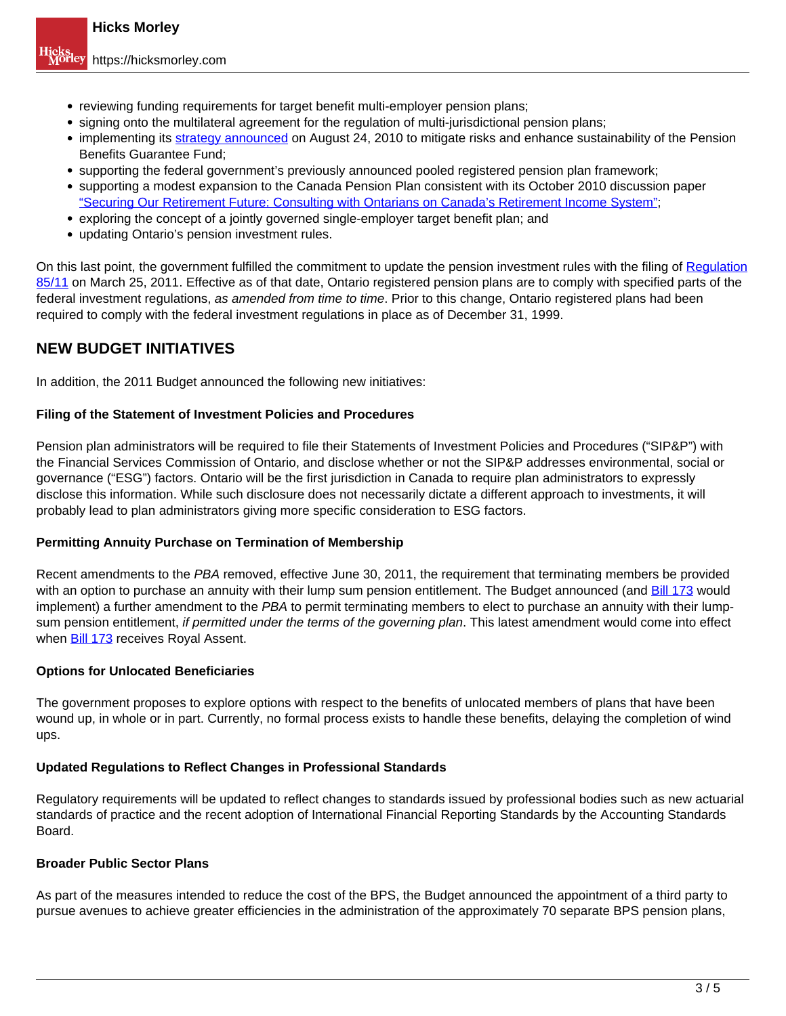- reviewing funding requirements for target benefit multi-employer pension plans;
- signing onto the multilateral agreement for the regulation of multi-jurisdictional pension plans;
- implementing its strategy announced on August 24, 2010 to mitigate risks and enhance sustainability of the Pension Benefits Guarantee Fund;
- supporting the federal government's previously announced pooled registered pension plan framework;

supporting a modest expansion to the Canada Pension Plan consistent with its October 2010 discussion paper "Securing Our Retirement Future: Consulting with Ontarians on Canada's Retirement Income System";

- exploring the concept of a jointly governed single-employer target benefit plan; and
- updating Ontario's pension investment rules.

On this last point, the government fulfilled the commitment to update the pension investment rules with the filing of Regulation 85/11 on March 25, 2011. Effective as of that date, Ontario registered pension plans are to comply with specified parts of the federal investment regulations, as amended from time to time. Prior to this change, Ontario registered plans had been required to comply with the federal investment regulations in place as of December 31, 1999.

### **NEW BUDGET INITIATIVES**

In addition, the 2011 Budget announced the following new initiatives:

#### **Filing of the Statement of Investment Policies and Procedures**

Pension plan administrators will be required to file their Statements of Investment Policies and Procedures ("SIP&P") with the Financial Services Commission of Ontario, and disclose whether or not the SIP&P addresses environmental, social or governance ("ESG") factors. Ontario will be the first jurisdiction in Canada to require plan administrators to expressly disclose this information. While such disclosure does not necessarily dictate a different approach to investments, it will probably lead to plan administrators giving more specific consideration to ESG factors.

### **Permitting Annuity Purchase on Termination of Membership**

Recent amendments to the PBA removed, effective June 30, 2011, the requirement that terminating members be provided with an option to purchase an annuity with their lump sum pension entitlement. The Budget announced (and Bill 173 would implement) a further amendment to the PBA to permit terminating members to elect to purchase an annuity with their lumpsum pension entitlement, if permitted under the terms of the governing plan. This latest amendment would come into effect when Bill 173 receives Royal Assent.

### **Options for Unlocated Beneficiaries**

The government proposes to explore options with respect to the benefits of unlocated members of plans that have been wound up, in whole or in part. Currently, no formal process exists to handle these benefits, delaying the completion of wind ups.

#### **Updated Regulations to Reflect Changes in Professional Standards**

Regulatory requirements will be updated to reflect changes to standards issued by professional bodies such as new actuarial standards of practice and the recent adoption of International Financial Reporting Standards by the Accounting Standards Board.

### **Broader Public Sector Plans**

As part of the measures intended to reduce the cost of the BPS, the Budget announced the appointment of a third party to pursue avenues to achieve greater efficiencies in the administration of the approximately 70 separate BPS pension plans,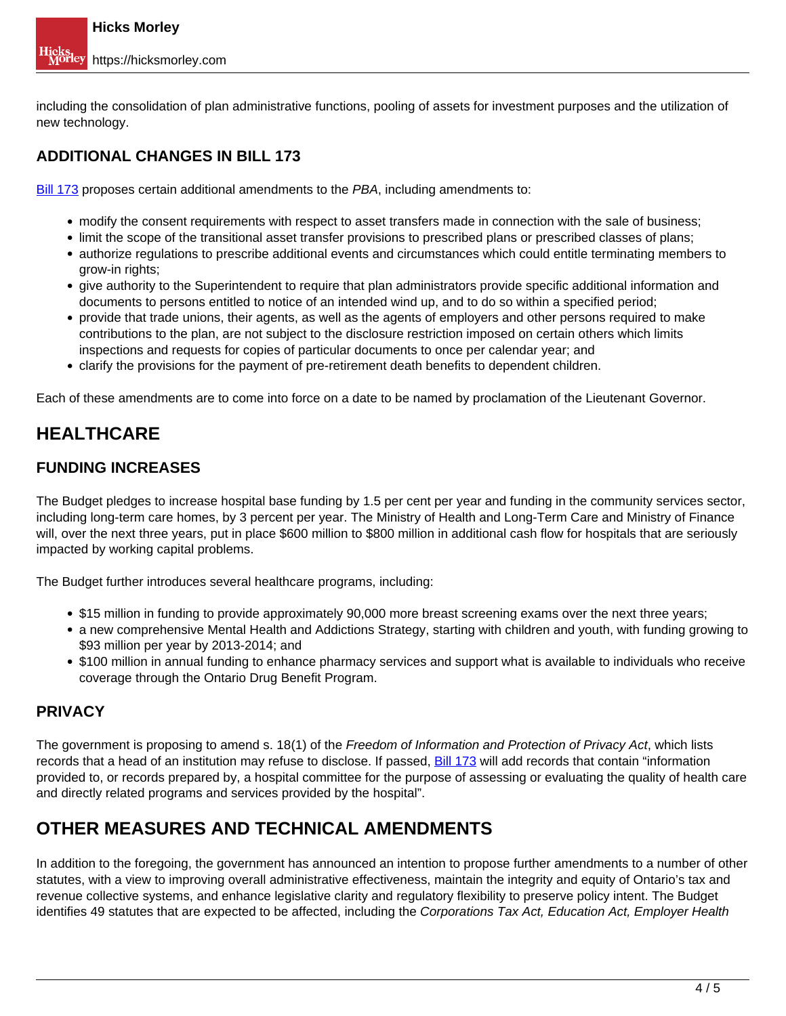including the consolidation of plan administrative functions, pooling of assets for investment purposes and the utilization of new technology.

## **ADDITIONAL CHANGES IN BILL 173**

Bill 173 proposes certain additional amendments to the PBA, including amendments to:

- modify the consent requirements with respect to asset transfers made in connection with the sale of business;
- limit the scope of the transitional asset transfer provisions to prescribed plans or prescribed classes of plans;
- authorize regulations to prescribe additional events and circumstances which could entitle terminating members to grow-in rights;
- give authority to the Superintendent to require that plan administrators provide specific additional information and documents to persons entitled to notice of an intended wind up, and to do so within a specified period;
- provide that trade unions, their agents, as well as the agents of employers and other persons required to make contributions to the plan, are not subject to the disclosure restriction imposed on certain others which limits inspections and requests for copies of particular documents to once per calendar year; and
- clarify the provisions for the payment of pre-retirement death benefits to dependent children.

Each of these amendments are to come into force on a date to be named by proclamation of the Lieutenant Governor.

# **HEALTHCARE**

## **FUNDING INCREASES**

The Budget pledges to increase hospital base funding by 1.5 per cent per year and funding in the community services sector, including long-term care homes, by 3 percent per year. The Ministry of Health and Long-Term Care and Ministry of Finance will, over the next three years, put in place \$600 million to \$800 million in additional cash flow for hospitals that are seriously impacted by working capital problems.

The Budget further introduces several healthcare programs, including:

- \$15 million in funding to provide approximately 90,000 more breast screening exams over the next three years;
- a new comprehensive Mental Health and Addictions Strategy, starting with children and youth, with funding growing to \$93 million per year by 2013-2014; and
- \$100 million in annual funding to enhance pharmacy services and support what is available to individuals who receive coverage through the Ontario Drug Benefit Program.

### **PRIVACY**

The government is proposing to amend s. 18(1) of the Freedom of Information and Protection of Privacy Act, which lists records that a head of an institution may refuse to disclose. If passed, **Bill 173** will add records that contain "information provided to, or records prepared by, a hospital committee for the purpose of assessing or evaluating the quality of health care and directly related programs and services provided by the hospital".

# **OTHER MEASURES AND TECHNICAL AMENDMENTS**

In addition to the foregoing, the government has announced an intention to propose further amendments to a number of other statutes, with a view to improving overall administrative effectiveness, maintain the integrity and equity of Ontario's tax and revenue collective systems, and enhance legislative clarity and regulatory flexibility to preserve policy intent. The Budget identifies 49 statutes that are expected to be affected, including the Corporations Tax Act, Education Act, Employer Health